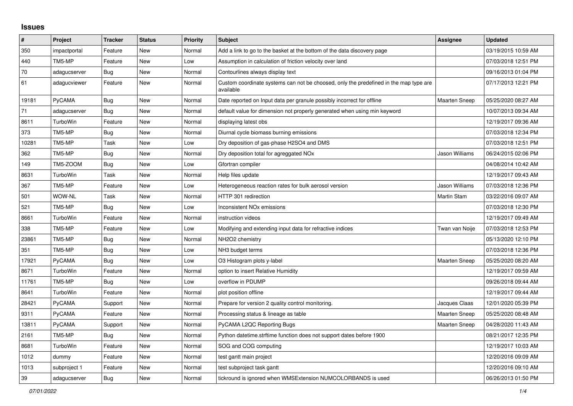## **Issues**

| #     | Project       | <b>Tracker</b> | <b>Status</b> | <b>Priority</b> | <b>Subject</b>                                                                                     | Assignee             | <b>Updated</b>      |
|-------|---------------|----------------|---------------|-----------------|----------------------------------------------------------------------------------------------------|----------------------|---------------------|
| 350   | impactportal  | Feature        | <b>New</b>    | Normal          | Add a link to go to the basket at the bottom of the data discovery page                            |                      | 03/19/2015 10:59 AM |
| 440   | TM5-MP        | Feature        | New           | Low             | Assumption in calculation of friction velocity over land                                           |                      | 07/03/2018 12:51 PM |
| 70    | adagucserver  | Bug            | New           | Normal          | Contourlines always display text                                                                   |                      | 09/16/2013 01:04 PM |
| 61    | adagucviewer  | Feature        | New           | Normal          | Custom coordinate systems can not be choosed, only the predefined in the map type are<br>available |                      | 07/17/2013 12:21 PM |
| 19181 | PyCAMA        | Bug            | <b>New</b>    | Normal          | Date reported on Input data per granule possibly incorrect for offline                             | <b>Maarten Sneep</b> | 05/25/2020 08:27 AM |
| 71    | adagucserver  | Bug            | New           | Normal          | default value for dimension not properly generated when using min keyword                          |                      | 10/07/2013 09:34 AM |
| 8611  | TurboWin      | Feature        | New           | Normal          | displaying latest obs                                                                              |                      | 12/19/2017 09:36 AM |
| 373   | TM5-MP        | Bug            | New           | Normal          | Diurnal cycle biomass burning emissions                                                            |                      | 07/03/2018 12:34 PM |
| 10281 | TM5-MP        | Task           | New           | Low             | Dry deposition of gas-phase H2SO4 and DMS                                                          |                      | 07/03/2018 12:51 PM |
| 362   | TM5-MP        | Bug            | New           | Normal          | Dry deposition total for agreggated NO <sub>x</sub>                                                | Jason Williams       | 06/24/2015 02:06 PM |
| 149   | TM5-ZOOM      | <b>Bug</b>     | New           | Low             | Gfortran compiler                                                                                  |                      | 04/08/2014 10:42 AM |
| 8631  | TurboWin      | Task           | New           | Normal          | Help files update                                                                                  |                      | 12/19/2017 09:43 AM |
| 367   | TM5-MP        | Feature        | New           | Low             | Heterogeneous reaction rates for bulk aerosol version                                              | Jason Williams       | 07/03/2018 12:36 PM |
| 501   | WOW-NL        | Task           | New           | Normal          | HTTP 301 redirection                                                                               | Martin Stam          | 03/22/2016 09:07 AM |
| 521   | TM5-MP        | Bug            | New           | Low             | Inconsistent NO <sub>x</sub> emissions                                                             |                      | 07/03/2018 12:30 PM |
| 8661  | TurboWin      | Feature        | New           | Normal          | instruction videos                                                                                 |                      | 12/19/2017 09:49 AM |
| 338   | TM5-MP        | Feature        | New           | Low             | Modifying and extending input data for refractive indices                                          | Twan van Noije       | 07/03/2018 12:53 PM |
| 23861 | TM5-MP        | Bug            | New           | Normal          | NH2O2 chemistry                                                                                    |                      | 05/13/2020 12:10 PM |
| 351   | TM5-MP        | Bug            | New           | Low             | NH3 budget terms                                                                                   |                      | 07/03/2018 12:36 PM |
| 17921 | <b>PyCAMA</b> | Bug            | New           | Low             | O3 Histogram plots y-label                                                                         | <b>Maarten Sneep</b> | 05/25/2020 08:20 AM |
| 8671  | TurboWin      | Feature        | New           | Normal          | option to insert Relative Humidity                                                                 |                      | 12/19/2017 09:59 AM |
| 11761 | TM5-MP        | <b>Bug</b>     | New           | Low             | overflow in PDUMP                                                                                  |                      | 09/26/2018 09:44 AM |
| 8641  | TurboWin      | Feature        | New           | Normal          | plot position offline                                                                              |                      | 12/19/2017 09:44 AM |
| 28421 | PyCAMA        | Support        | New           | Normal          | Prepare for version 2 quality control monitoring.                                                  | Jacques Claas        | 12/01/2020 05:39 PM |
| 9311  | PyCAMA        | Feature        | New           | Normal          | Processing status & lineage as table                                                               | <b>Maarten Sneep</b> | 05/25/2020 08:48 AM |
| 13811 | PyCAMA        | Support        | New           | Normal          | PyCAMA L2QC Reporting Bugs                                                                         | <b>Maarten Sneep</b> | 04/28/2020 11:43 AM |
| 2161  | TM5-MP        | Bug            | New           | Normal          | Python datetime.strftime function does not support dates before 1900                               |                      | 08/21/2017 12:35 PM |
| 8681  | TurboWin      | Feature        | New           | Normal          | SOG and COG computing                                                                              |                      | 12/19/2017 10:03 AM |
| 1012  | dummy         | Feature        | <b>New</b>    | Normal          | test gantt main project                                                                            |                      | 12/20/2016 09:09 AM |
| 1013  | subproject 1  | Feature        | <b>New</b>    | Normal          | test subproject task gantt                                                                         |                      | 12/20/2016 09:10 AM |
| 39    | adagucserver  | <b>Bug</b>     | New           | Normal          | tickround is ignored when WMSExtension NUMCOLORBANDS is used                                       |                      | 06/26/2013 01:50 PM |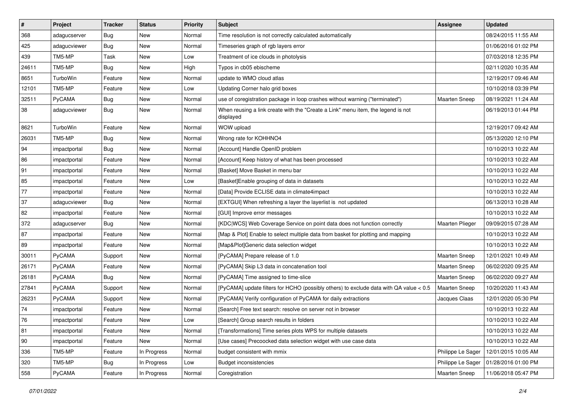| $\pmb{\#}$   | Project       | <b>Tracker</b> | <b>Status</b> | <b>Priority</b> | <b>Subject</b>                                                                                | Assignee             | <b>Updated</b>      |
|--------------|---------------|----------------|---------------|-----------------|-----------------------------------------------------------------------------------------------|----------------------|---------------------|
| 368          | adagucserver  | <b>Bug</b>     | New           | Normal          | Time resolution is not correctly calculated automatically                                     |                      | 08/24/2015 11:55 AM |
| 425          | adagucviewer  | <b>Bug</b>     | <b>New</b>    | Normal          | Timeseries graph of rgb layers error                                                          |                      | 01/06/2016 01:02 PM |
| 439          | TM5-MP        | Task           | New           | Low             | Treatment of ice clouds in photolysis                                                         |                      | 07/03/2018 12:35 PM |
| 24611        | TM5-MP        | <b>Bug</b>     | New           | High            | Typos in cb05 ebischeme                                                                       |                      | 02/11/2020 10:35 AM |
| 8651         | TurboWin      | Feature        | <b>New</b>    | Normal          | update to WMO cloud atlas                                                                     |                      | 12/19/2017 09:46 AM |
| 12101        | TM5-MP        | Feature        | New           | Low             | Updating Corner halo grid boxes                                                               |                      | 10/10/2018 03:39 PM |
| 32511        | PyCAMA        | <b>Bug</b>     | <b>New</b>    | Normal          | use of coregistration package in loop crashes without warning ("terminated")                  | <b>Maarten Sneep</b> | 08/19/2021 11:24 AM |
| 38           | adagucviewer  | <b>Bug</b>     | New           | Normal          | When reusing a link create with the "Create a Link" menu item, the legend is not<br>displayed |                      | 06/19/2013 01:44 PM |
| 8621         | TurboWin      | Feature        | <b>New</b>    | Normal          | WOW upload                                                                                    |                      | 12/19/2017 09:42 AM |
| 26031        | TM5-MP        | <b>Bug</b>     | New           | Normal          | Wrong rate for KOHHNO4                                                                        |                      | 05/13/2020 12:10 PM |
| 94           | impactportal  | Bug            | New           | Normal          | [Account] Handle OpenID problem                                                               |                      | 10/10/2013 10:22 AM |
| 86           | impactportal  | Feature        | New           | Normal          | [Account] Keep history of what has been processed                                             |                      | 10/10/2013 10:22 AM |
| 91           | impactportal  | Feature        | New           | Normal          | [Basket] Move Basket in menu bar                                                              |                      | 10/10/2013 10:22 AM |
| 85           | impactportal  | Feature        | <b>New</b>    | Low             | [Basket]Enable grouping of data in datasets                                                   |                      | 10/10/2013 10:22 AM |
| 77           | impactportal  | Feature        | New           | Normal          | [Data] Provide ECLISE data in climate4impact                                                  |                      | 10/10/2013 10:22 AM |
| 37           | adagucviewer  | Bug            | New           | Normal          | [EXTGUI] When refreshing a layer the layerlist is not updated                                 |                      | 06/13/2013 10:28 AM |
| 82           | impactportal  | Feature        | <b>New</b>    | Normal          | [GUI] Improve error messages                                                                  |                      | 10/10/2013 10:22 AM |
| 372          | adagucserver  | <b>Bug</b>     | New           | Normal          | [KDC WCS] Web Coverage Service on point data does not function correctly                      | Maarten Plieger      | 09/09/2015 07:28 AM |
| 87           | impactportal  | Feature        | New           | Normal          | [Map & Plot] Enable to select multiple data from basket for plotting and mapping              |                      | 10/10/2013 10:22 AM |
| 89           | impactportal  | Feature        | New           | Normal          | [Map&Plot]Generic data selection widget                                                       |                      | 10/10/2013 10:22 AM |
| 30011        | PyCAMA        | Support        | New           | Normal          | [PyCAMA] Prepare release of 1.0                                                               | Maarten Sneep        | 12/01/2021 10:49 AM |
| 26171        | PyCAMA        | Feature        | <b>New</b>    | Normal          | [PyCAMA] Skip L3 data in concatenation tool                                                   | <b>Maarten Sneep</b> | 06/02/2020 09:25 AM |
| 26181        | <b>PyCAMA</b> | <b>Bug</b>     | New           | Normal          | [PyCAMA] Time assigned to time-slice                                                          | <b>Maarten Sneep</b> | 06/02/2020 09:27 AM |
| 27841        | PyCAMA        | Support        | New           | Normal          | [PyCAMA] update filters for HCHO (possibly others) to exclude data with QA value < 0.5        | <b>Maarten Sneep</b> | 10/20/2020 11:43 AM |
| 26231        | PyCAMA        | Support        | New           | Normal          | [PyCAMA] Verify configuration of PyCAMA for daily extractions                                 | Jacques Claas        | 12/01/2020 05:30 PM |
| 74           | impactportal  | Feature        | New           | Normal          | [Search] Free text search: resolve on server not in browser                                   |                      | 10/10/2013 10:22 AM |
| 76           | impactportal  | Feature        | New           | Low             | [Search] Group search results in folders                                                      |                      | 10/10/2013 10:22 AM |
| 81           | impactportal  | Feature        | New           | Normal          | [Transformations] Time series plots WPS for multiple datasets                                 |                      | 10/10/2013 10:22 AM |
| $ 90\rangle$ | impactportal  | Feature        | New           | Normal          | [Use cases] Precoocked data selection widget with use case data                               |                      | 10/10/2013 10:22 AM |
| 336          | TM5-MP        | Feature        | In Progress   | Normal          | budget consistent with mmix                                                                   | Philippe Le Sager    | 12/01/2015 10:05 AM |
| 320          | TM5-MP        | <b>Bug</b>     | In Progress   | Low             | <b>Budget inconsistencies</b>                                                                 | Philippe Le Sager    | 01/28/2016 01:00 PM |
| 558          | PyCAMA        | Feature        | In Progress   | Normal          | Coregistration                                                                                | Maarten Sneep        | 11/06/2018 05:47 PM |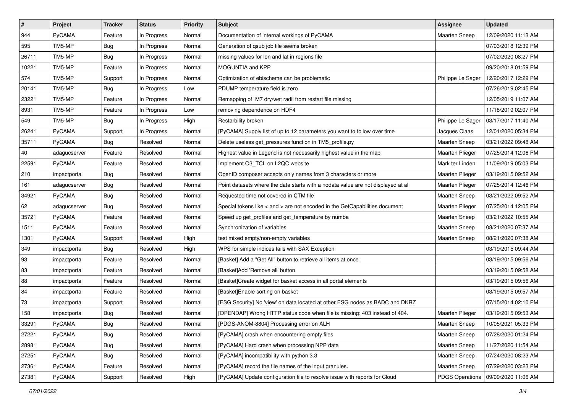| $\vert$ # | Project       | <b>Tracker</b> | <b>Status</b> | <b>Priority</b> | <b>Subject</b>                                                                    | Assignee               | <b>Updated</b>                        |
|-----------|---------------|----------------|---------------|-----------------|-----------------------------------------------------------------------------------|------------------------|---------------------------------------|
| 944       | PyCAMA        | Feature        | In Progress   | Normal          | Documentation of internal workings of PyCAMA                                      | <b>Maarten Sneep</b>   | 12/09/2020 11:13 AM                   |
| 595       | TM5-MP        | <b>Bug</b>     | In Progress   | Normal          | Generation of qsub job file seems broken                                          |                        | 07/03/2018 12:39 PM                   |
| 26711     | TM5-MP        | <b>Bug</b>     | In Progress   | Normal          | missing values for lon and lat in regions file                                    |                        | 07/02/2020 08:27 PM                   |
| 10221     | TM5-MP        | Feature        | In Progress   | Normal          | MOGUNTIA and KPP                                                                  |                        | 09/20/2018 01:59 PM                   |
| 574       | TM5-MP        | Support        | In Progress   | Normal          | Optimization of ebischeme can be problematic                                      | Philippe Le Sager      | 12/20/2017 12:29 PM                   |
| 20141     | TM5-MP        | <b>Bug</b>     | In Progress   | Low             | PDUMP temperature field is zero                                                   |                        | 07/26/2019 02:45 PM                   |
| 23221     | TM5-MP        | Feature        | In Progress   | Normal          | Remapping of M7 dry/wet radii from restart file missing                           |                        | 12/05/2019 11:07 AM                   |
| 8931      | TM5-MP        | Feature        | In Progress   | Low             | removing dependence on HDF4                                                       |                        | 11/18/2019 02:07 PM                   |
| 549       | TM5-MP        | <b>Bug</b>     | In Progress   | High            | Restarbility broken                                                               | Philippe Le Sager      | 03/17/2017 11:40 AM                   |
| 26241     | PyCAMA        | Support        | In Progress   | Normal          | [PyCAMA] Supply list of up to 12 parameters you want to follow over time          | Jacques Claas          | 12/01/2020 05:34 PM                   |
| 35711     | <b>PyCAMA</b> | <b>Bug</b>     | Resolved      | Normal          | Delete useless get_pressures function in TM5_profile.py                           | <b>Maarten Sneep</b>   | 03/21/2022 09:48 AM                   |
| 40        | adagucserver  | Feature        | Resolved      | Normal          | Highest value in Legend is not necessarily highest value in the map               | <b>Maarten Plieger</b> | 07/25/2014 12:06 PM                   |
| 22591     | PyCAMA        | Feature        | Resolved      | Normal          | Implement O3_TCL on L2QC website                                                  | Mark ter Linden        | 11/09/2019 05:03 PM                   |
| 210       | impactportal  | <b>Bug</b>     | Resolved      | Normal          | OpenID composer accepts only names from 3 characters or more                      | Maarten Plieger        | 03/19/2015 09:52 AM                   |
| 161       | adagucserver  | <b>Bug</b>     | Resolved      | Normal          | Point datasets where the data starts with a nodata value are not displayed at all | <b>Maarten Plieger</b> | 07/25/2014 12:46 PM                   |
| 34921     | <b>PyCAMA</b> | Bug            | Resolved      | Normal          | Requested time not covered in CTM file                                            | Maarten Sneep          | 03/21/2022 09:52 AM                   |
| 62        | adagucserver  | <b>Bug</b>     | Resolved      | Normal          | Special tokens like < and > are not encoded in the GetCapabilities document       | <b>Maarten Plieger</b> | 07/25/2014 12:05 PM                   |
| 35721     | PyCAMA        | Feature        | Resolved      | Normal          | Speed up get_profiles and get_temperature by numba                                | <b>Maarten Sneep</b>   | 03/21/2022 10:55 AM                   |
| 1511      | <b>PyCAMA</b> | Feature        | Resolved      | Normal          | Synchronization of variables                                                      | <b>Maarten Sneep</b>   | 08/21/2020 07:37 AM                   |
| 1301      | PyCAMA        | Support        | Resolved      | High            | test mixed empty/non-empty variables                                              | <b>Maarten Sneep</b>   | 08/21/2020 07:38 AM                   |
| 349       | impactportal  | Bug            | Resolved      | High            | WPS for simple indices fails with SAX Exception                                   |                        | 03/19/2015 09:44 AM                   |
| 93        | impactportal  | Feature        | Resolved      | Normal          | [Basket] Add a "Get All" button to retrieve all items at once                     |                        | 03/19/2015 09:56 AM                   |
| 83        | impactportal  | Feature        | Resolved      | Normal          | [Basket]Add 'Remove all' button                                                   |                        | 03/19/2015 09:58 AM                   |
| 88        | impactportal  | Feature        | Resolved      | Normal          | [Basket]Create widget for basket access in all portal elements                    |                        | 03/19/2015 09:56 AM                   |
| 84        | impactportal  | Feature        | Resolved      | Normal          | [Basket]Enable sorting on basket                                                  |                        | 03/19/2015 09:57 AM                   |
| 73        | impactportal  | Support        | Resolved      | Normal          | [ESG Security] No 'view' on data located at other ESG nodes as BADC and DKRZ      |                        | 07/15/2014 02:10 PM                   |
| 158       | impactportal  | <b>Bug</b>     | Resolved      | Normal          | [OPENDAP] Wrong HTTP status code when file is missing: 403 instead of 404.        | <b>Maarten Plieger</b> | 03/19/2015 09:53 AM                   |
| 33291     | PyCAMA        | Bug            | Resolved      | Normal          | [PDGS-ANOM-8804] Processing error on ALH                                          | Maarten Sneep          | 10/05/2021 05:33 PM                   |
| 27221     | PyCAMA        | Bug            | Resolved      | Normal          | [PyCAMA] crash when encountering empty files                                      | <b>Maarten Sneep</b>   | 07/28/2020 01:24 PM                   |
| 28981     | PyCAMA        | Bug            | Resolved      | Normal          | [PyCAMA] Hard crash when processing NPP data                                      | <b>Maarten Sneep</b>   | 11/27/2020 11:54 AM                   |
| 27251     | PyCAMA        | Bug            | Resolved      | Normal          | [PyCAMA] incompatibility with python 3.3                                          | Maarten Sneep          | 07/24/2020 08:23 AM                   |
| 27361     | PyCAMA        | Feature        | Resolved      | Normal          | [PyCAMA] record the file names of the input granules.                             | Maarten Sneep          | 07/29/2020 03:23 PM                   |
| 27381     | PyCAMA        | Support        | Resolved      | High            | [PyCAMA] Update configuration file to resolve issue with reports for Cloud        |                        | PDGS Operations   09/09/2020 11:06 AM |